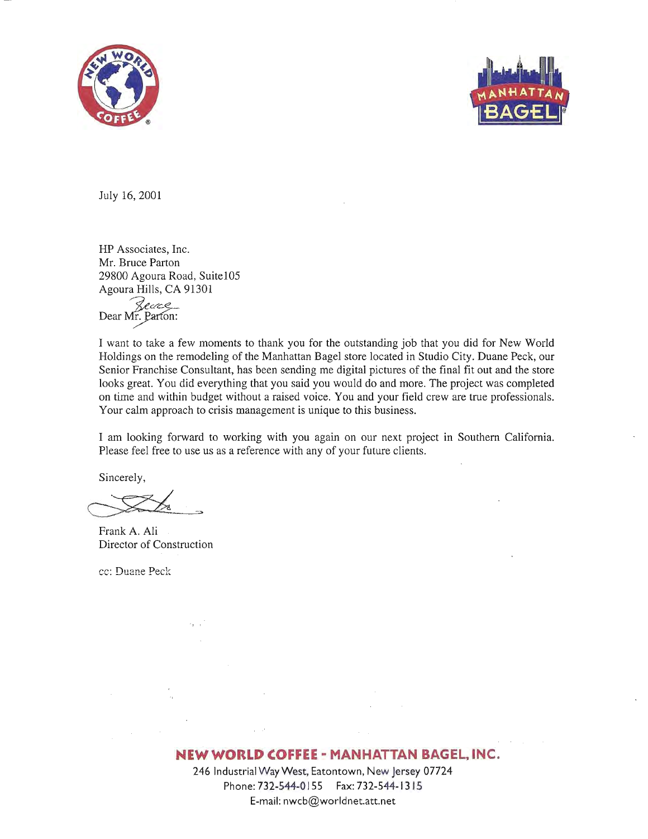



July 16,2001

HP Associates, Inc. Mr. Bruce Parton 29800 Agoura Road, Suite105 Agoura Hills, CA 91301

*~e:::2:-* Dear~lon:

I want to take a few moments to thank you for the outstanding job that you did for New World Holdings on the remodeling of the Manhattan Bagel store located in Studio City. Duane Peck, our Senior Franchise Consultant, has been sending me digital pictures of the final fit out and the store looks great. You did everything that you said you would do and more. The project was completed on time and within budget without a raised voice. You and your field crew are true professionals. Your calm approach to crisis management is unique to this business.

I am looking forward to working with you again on our next project in Southern California. Please feel free to use us as a reference with any of your future clients.

Sincerely,

Frank A. Ali Director of Construction

 $\mathbb{E}_{q \sim t}$ 

cc: Duane Peck

## **NEW WORLD COFFEE - MANHATTAN BAGEL, INC.**

246 Industrial Way West, Eatontown, New Jersey 07724 Phone: 732-544-0155 Fax: 732-544-13 15 E-mail:nwcb@worldnet.att.net